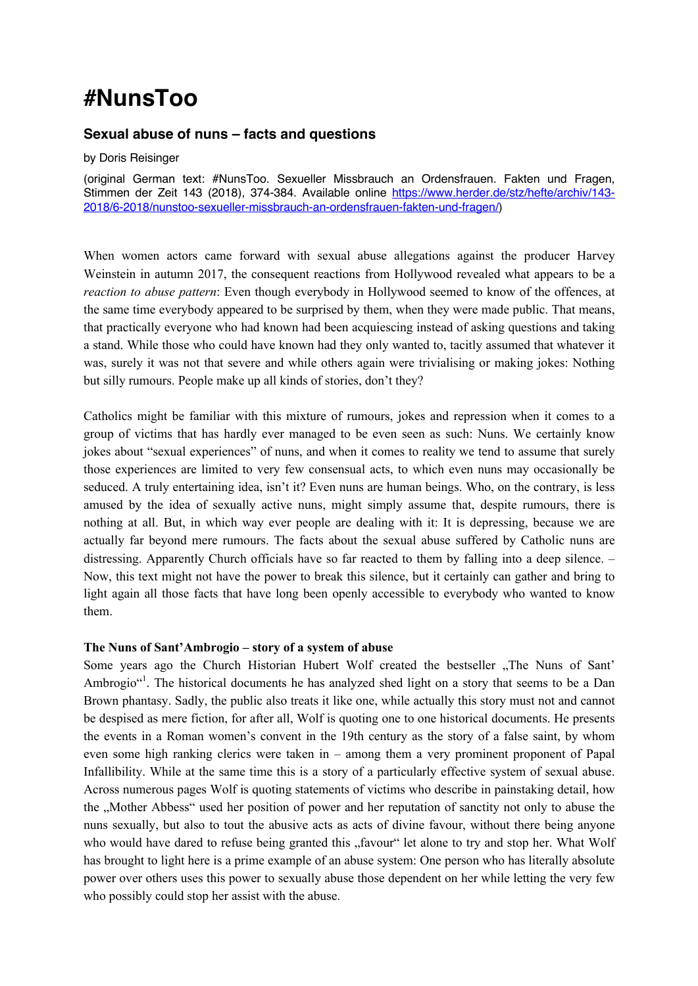# **#NunsToo**

## **Sexual abuse of nuns – facts and questions**

by Doris Reisinger

(original German text: #NunsToo. Sexueller Missbrauch an Ordensfrauen. Fakten und Fragen, Stimmen der Zeit 143 (2018), 374-384. Available online https://www.herder.de/stz/hefte/archiv/143-2018/6-2018/nunstoo-sexueller-missbrauch-an-ordensfrauen-fakten-und-fragen/)

When women actors came forward with sexual abuse allegations against the producer Harvey Weinstein in autumn 2017, the consequent reactions from Hollywood revealed what appears to be a *reaction to abuse pattern*: Even though everybody in Hollywood seemed to know of the offences, at the same time everybody appeared to be surprised by them, when they were made public. That means, that practically everyone who had known had been acquiescing instead of asking questions and taking a stand. While those who could have known had they only wanted to, tacitly assumed that whatever it was, surely it was not that severe and while others again were trivialising or making jokes: Nothing but silly rumours. People make up all kinds of stories, don't they?

Catholics might be familiar with this mixture of rumours, jokes and repression when it comes to a group of victims that has hardly ever managed to be even seen as such: Nuns. We certainly know jokes about "sexual experiences" of nuns, and when it comes to reality we tend to assume that surely those experiences are limited to very few consensual acts, to which even nuns may occasionally be seduced. A truly entertaining idea, isn't it? Even nuns are human beings. Who, on the contrary, is less amused by the idea of sexually active nuns, might simply assume that, despite rumours, there is nothing at all. But, in which way ever people are dealing with it: It is depressing, because we are actually far beyond mere rumours. The facts about the sexual abuse suffered by Catholic nuns are distressing. Apparently Church officials have so far reacted to them by falling into a deep silence. – Now, this text might not have the power to break this silence, but it certainly can gather and bring to light again all those facts that have long been openly accessible to everybody who wanted to know them.

### **The Nuns of Sant'Ambrogio – story of a system of abuse**

Some years ago the Church Historian Hubert Wolf created the bestseller "The Nuns of Sant" Ambrogio"<sup>1</sup>. The historical documents he has analyzed shed light on a story that seems to be a Dan Brown phantasy. Sadly, the public also treats it like one, while actually this story must not and cannot be despised as mere fiction, for after all, Wolf is quoting one to one historical documents. He presents the events in a Roman women's convent in the 19th century as the story of a false saint, by whom even some high ranking clerics were taken in – among them a very prominent proponent of Papal Infallibility. While at the same time this is a story of a particularly effective system of sexual abuse. Across numerous pages Wolf is quoting statements of victims who describe in painstaking detail, how the "Mother Abbess" used her position of power and her reputation of sanctity not only to abuse the nuns sexually, but also to tout the abusive acts as acts of divine favour, without there being anyone who would have dared to refuse being granted this "favour" let alone to try and stop her. What Wolf has brought to light here is a prime example of an abuse system: One person who has literally absolute power over others uses this power to sexually abuse those dependent on her while letting the very few who possibly could stop her assist with the abuse.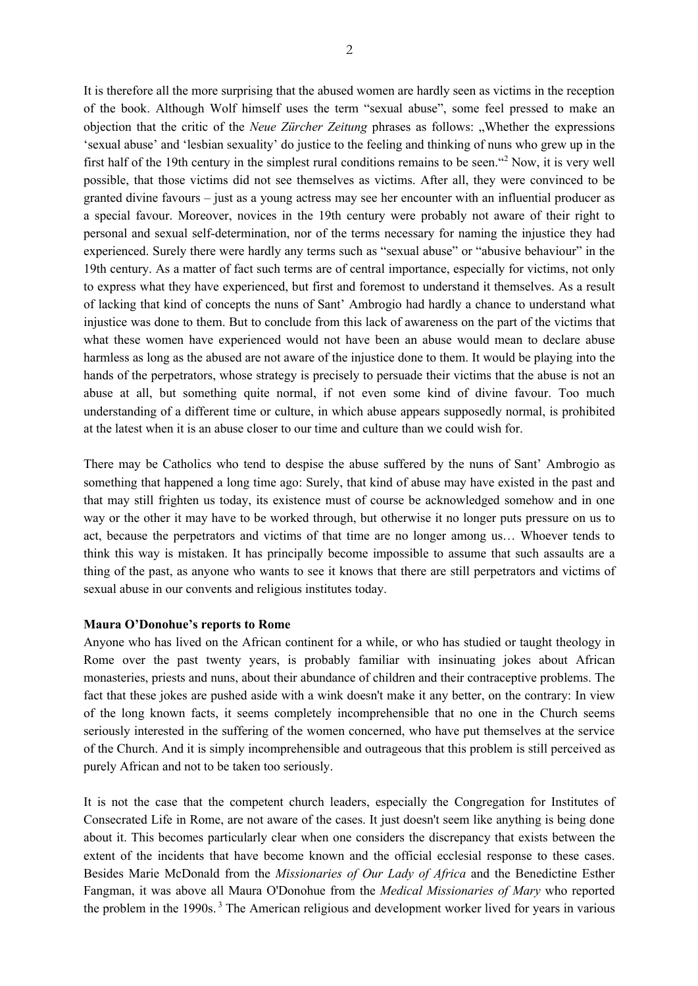It is therefore all the more surprising that the abused women are hardly seen as victims in the reception of the book. Although Wolf himself uses the term "sexual abuse", some feel pressed to make an objection that the critic of the *Neue Zürcher Zeitung* phrases as follows: "Whether the expressions 'sexual abuse' and 'lesbian sexuality' do justice to the feeling and thinking of nuns who grew up in the first half of the 19th century in the simplest rural conditions remains to be seen."<sup>2</sup> Now, it is very well possible, that those victims did not see themselves as victims. After all, they were convinced to be granted divine favours – just as a young actress may see her encounter with an influential producer as a special favour. Moreover, novices in the 19th century were probably not aware of their right to personal and sexual self-determination, nor of the terms necessary for naming the injustice they had experienced. Surely there were hardly any terms such as "sexual abuse" or "abusive behaviour" in the 19th century. As a matter of fact such terms are of central importance, especially for victims, not only to express what they have experienced, but first and foremost to understand it themselves. As a result of lacking that kind of concepts the nuns of Sant' Ambrogio had hardly a chance to understand what injustice was done to them. But to conclude from this lack of awareness on the part of the victims that what these women have experienced would not have been an abuse would mean to declare abuse harmless as long as the abused are not aware of the injustice done to them. It would be playing into the hands of the perpetrators, whose strategy is precisely to persuade their victims that the abuse is not an abuse at all, but something quite normal, if not even some kind of divine favour. Too much understanding of a different time or culture, in which abuse appears supposedly normal, is prohibited at the latest when it is an abuse closer to our time and culture than we could wish for.

There may be Catholics who tend to despise the abuse suffered by the nuns of Sant' Ambrogio as something that happened a long time ago: Surely, that kind of abuse may have existed in the past and that may still frighten us today, its existence must of course be acknowledged somehow and in one way or the other it may have to be worked through, but otherwise it no longer puts pressure on us to act, because the perpetrators and victims of that time are no longer among us… Whoever tends to think this way is mistaken. It has principally become impossible to assume that such assaults are a thing of the past, as anyone who wants to see it knows that there are still perpetrators and victims of sexual abuse in our convents and religious institutes today.

#### **Maura O'Donohue's reports to Rome**

Anyone who has lived on the African continent for a while, or who has studied or taught theology in Rome over the past twenty years, is probably familiar with insinuating jokes about African monasteries, priests and nuns, about their abundance of children and their contraceptive problems. The fact that these jokes are pushed aside with a wink doesn't make it any better, on the contrary: In view of the long known facts, it seems completely incomprehensible that no one in the Church seems seriously interested in the suffering of the women concerned, who have put themselves at the service of the Church. And it is simply incomprehensible and outrageous that this problem is still perceived as purely African and not to be taken too seriously.

It is not the case that the competent church leaders, especially the Congregation for Institutes of Consecrated Life in Rome, are not aware of the cases. It just doesn't seem like anything is being done about it. This becomes particularly clear when one considers the discrepancy that exists between the extent of the incidents that have become known and the official ecclesial response to these cases. Besides Marie McDonald from the *Missionaries of Our Lady of Africa* and the Benedictine Esther Fangman, it was above all Maura O'Donohue from the *Medical Missionaries of Mary* who reported the problem in the 1990s.<sup>3</sup> The American religious and development worker lived for years in various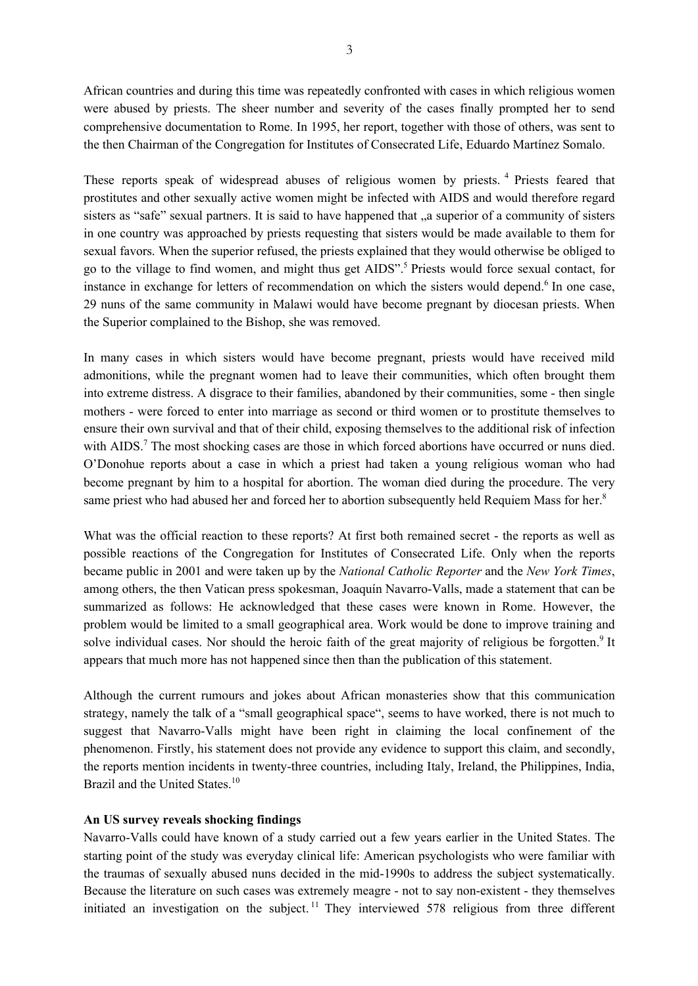African countries and during this time was repeatedly confronted with cases in which religious women were abused by priests. The sheer number and severity of the cases finally prompted her to send comprehensive documentation to Rome. In 1995, her report, together with those of others, was sent to the then Chairman of the Congregation for Institutes of Consecrated Life, Eduardo Martínez Somalo.

These reports speak of widespread abuses of religious women by priests. <sup>4</sup> Priests feared that prostitutes and other sexually active women might be infected with AIDS and would therefore regard sisters as "safe" sexual partners. It is said to have happened that "a superior of a community of sisters" in one country was approached by priests requesting that sisters would be made available to them for sexual favors. When the superior refused, the priests explained that they would otherwise be obliged to go to the village to find women, and might thus get AIDS". <sup>5</sup> Priests would force sexual contact, for instance in exchange for letters of recommendation on which the sisters would depend.<sup>6</sup> In one case, 29 nuns of the same community in Malawi would have become pregnant by diocesan priests. When the Superior complained to the Bishop, she was removed.

In many cases in which sisters would have become pregnant, priests would have received mild admonitions, while the pregnant women had to leave their communities, which often brought them into extreme distress. A disgrace to their families, abandoned by their communities, some - then single mothers - were forced to enter into marriage as second or third women or to prostitute themselves to ensure their own survival and that of their child, exposing themselves to the additional risk of infection with AIDS.<sup>7</sup> The most shocking cases are those in which forced abortions have occurred or nuns died. O'Donohue reports about a case in which a priest had taken a young religious woman who had become pregnant by him to a hospital for abortion. The woman died during the procedure. The very same priest who had abused her and forced her to abortion subsequently held Requiem Mass for her.<sup>8</sup>

What was the official reaction to these reports? At first both remained secret - the reports as well as possible reactions of the Congregation for Institutes of Consecrated Life. Only when the reports became public in 2001 and were taken up by the *National Catholic Reporter* and the *New York Times*, among others, the then Vatican press spokesman, Joaquín Navarro-Valls, made a statement that can be summarized as follows: He acknowledged that these cases were known in Rome. However, the problem would be limited to a small geographical area. Work would be done to improve training and solve individual cases. Nor should the heroic faith of the great majority of religious be forgotten.<sup>9</sup> It appears that much more has not happened since then than the publication of this statement.

Although the current rumours and jokes about African monasteries show that this communication strategy, namely the talk of a "small geographical space", seems to have worked, there is not much to suggest that Navarro-Valls might have been right in claiming the local confinement of the phenomenon. Firstly, his statement does not provide any evidence to support this claim, and secondly, the reports mention incidents in twenty-three countries, including Italy, Ireland, the Philippines, India, Brazil and the United States.<sup>10</sup>

#### **An US survey reveals shocking findings**

Navarro-Valls could have known of a study carried out a few years earlier in the United States. The starting point of the study was everyday clinical life: American psychologists who were familiar with the traumas of sexually abused nuns decided in the mid-1990s to address the subject systematically. Because the literature on such cases was extremely meagre - not to say non-existent - they themselves initiated an investigation on the subject.<sup>11</sup> They interviewed 578 religious from three different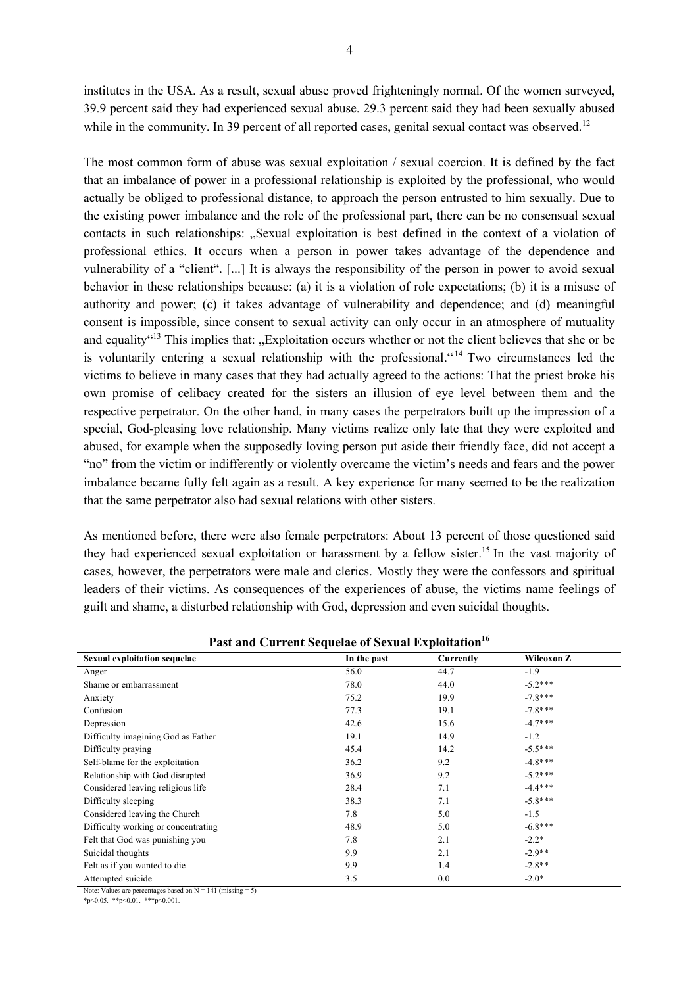institutes in the USA. As a result, sexual abuse proved frighteningly normal. Of the women surveyed, 39.9 percent said they had experienced sexual abuse. 29.3 percent said they had been sexually abused while in the community. In 39 percent of all reported cases, genital sexual contact was observed.<sup>12</sup>

The most common form of abuse was sexual exploitation / sexual coercion. It is defined by the fact that an imbalance of power in a professional relationship is exploited by the professional, who would actually be obliged to professional distance, to approach the person entrusted to him sexually. Due to the existing power imbalance and the role of the professional part, there can be no consensual sexual contacts in such relationships: "Sexual exploitation is best defined in the context of a violation of professional ethics. It occurs when a person in power takes advantage of the dependence and vulnerability of a "client". [...] It is always the responsibility of the person in power to avoid sexual behavior in these relationships because: (a) it is a violation of role expectations; (b) it is a misuse of authority and power; (c) it takes advantage of vulnerability and dependence; and (d) meaningful consent is impossible, since consent to sexual activity can only occur in an atmosphere of mutuality and equality<sup>"13</sup> This implies that: "Exploitation occurs whether or not the client believes that she or be is voluntarily entering a sexual relationship with the professional. <sup>414</sup> Two circumstances led the victims to believe in many cases that they had actually agreed to the actions: That the priest broke his own promise of celibacy created for the sisters an illusion of eye level between them and the respective perpetrator. On the other hand, in many cases the perpetrators built up the impression of a special, God-pleasing love relationship. Many victims realize only late that they were exploited and abused, for example when the supposedly loving person put aside their friendly face, did not accept a "no" from the victim or indifferently or violently overcame the victim's needs and fears and the power imbalance became fully felt again as a result. A key experience for many seemed to be the realization that the same perpetrator also had sexual relations with other sisters.

As mentioned before, there were also female perpetrators: About 13 percent of those questioned said they had experienced sexual exploitation or harassment by a fellow sister. <sup>15</sup> In the vast majority of cases, however, the perpetrators were male and clerics. Mostly they were the confessors and spiritual leaders of their victims. As consequences of the experiences of abuse, the victims name feelings of guilt and shame, a disturbed relationship with God, depression and even suicidal thoughts.

| <b>Sexual exploitation sequelae</b> | In the past | Currently | Wilcoxon Z |
|-------------------------------------|-------------|-----------|------------|
| Anger                               | 56.0        | 44.7      | $-1.9$     |
| Shame or embarrassment              | 78.0        | 44.0      | $-5.2***$  |
| Anxiety                             | 75.2        | 19.9      | $-7.8***$  |
| Confusion                           | 77.3        | 19.1      | $-7.8***$  |
| Depression                          | 42.6        | 15.6      | $-4.7***$  |
| Difficulty imagining God as Father  | 19.1        | 14.9      | $-1.2$     |
| Difficulty praying                  | 45.4        | 14.2      | $-5.5***$  |
| Self-blame for the exploitation     | 36.2        | 9.2       | $-4.8***$  |
| Relationship with God disrupted     | 36.9        | 9.2       | $-5.2***$  |
| Considered leaving religious life   | 28.4        | 7.1       | $-4.4***$  |
| Difficulty sleeping                 | 38.3        | 7.1       | $-5.8***$  |
| Considered leaving the Church       | 7.8         | 5.0       | $-1.5$     |
| Difficulty working or concentrating | 48.9        | 5.0       | $-6.8***$  |
| Felt that God was punishing you     | 7.8         | 2.1       | $-2.2*$    |
| Suicidal thoughts                   | 9.9         | 2.1       | $-2.9**$   |
| Felt as if you wanted to die        | 9.9         | 1.4       | $-2.8**$   |
| Attempted suicide                   | 3.5         | 0.0       | $-2.0*$    |

Past and Current Sequelae of Sexual Exploitation<sup>16</sup>

Note: Values are percentages based on  $N = 141$  (missing = 5)

 $*_{p<0.05}$ .  $*_{p<0.01}$ .  $*_{p<0.001}$ .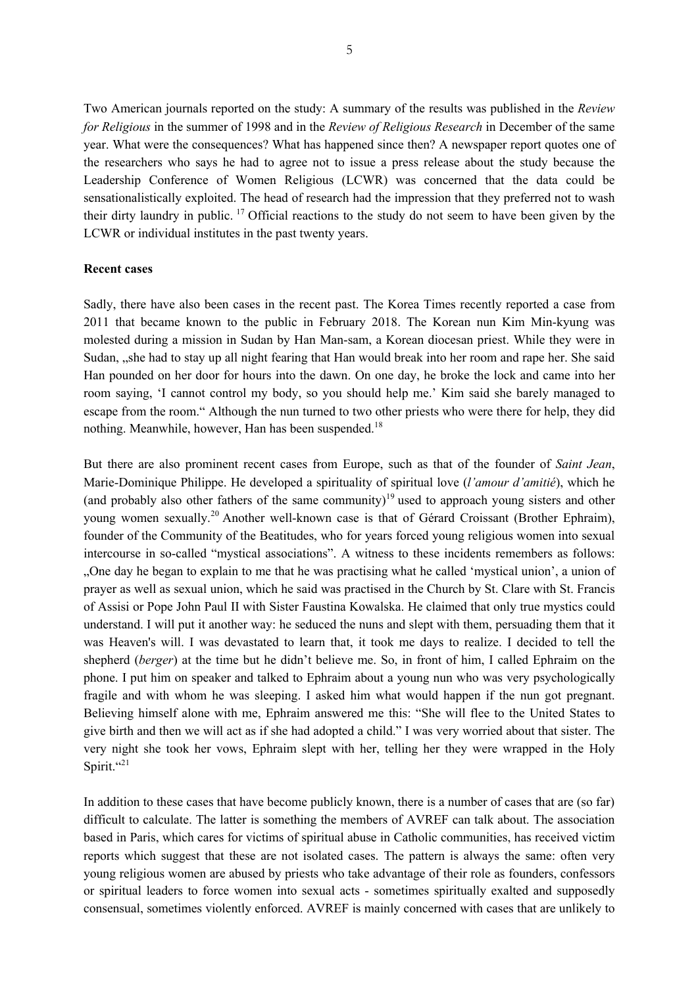Two American journals reported on the study: A summary of the results was published in the *Review for Religious* in the summer of 1998 and in the *Review of Religious Research* in December of the same year. What were the consequences? What has happened since then? A newspaper report quotes one of the researchers who says he had to agree not to issue a press release about the study because the Leadership Conference of Women Religious (LCWR) was concerned that the data could be sensationalistically exploited. The head of research had the impression that they preferred not to wash their dirty laundry in public. <sup>17</sup> Official reactions to the study do not seem to have been given by the LCWR or individual institutes in the past twenty years.

#### **Recent cases**

Sadly, there have also been cases in the recent past. The Korea Times recently reported a case from 2011 that became known to the public in February 2018. The Korean nun Kim Min-kyung was molested during a mission in Sudan by Han Man-sam, a Korean diocesan priest. While they were in Sudan, "she had to stay up all night fearing that Han would break into her room and rape her. She said Han pounded on her door for hours into the dawn. On one day, he broke the lock and came into her room saying, 'I cannot control my body, so you should help me.' Kim said she barely managed to escape from the room." Although the nun turned to two other priests who were there for help, they did nothing. Meanwhile, however, Han has been suspended.<sup>18</sup>

But there are also prominent recent cases from Europe, such as that of the founder of *Saint Jean*, Marie-Dominique Philippe. He developed a spirituality of spiritual love (*l'amour d'amitié*), which he (and probably also other fathers of the same community)<sup>19</sup> used to approach young sisters and other young women sexually.<sup>20</sup> Another well-known case is that of Gérard Croissant (Brother Ephraim), founder of the Community of the Beatitudes, who for years forced young religious women into sexual intercourse in so-called "mystical associations". A witness to these incidents remembers as follows: "One day he began to explain to me that he was practising what he called 'mystical union', a union of prayer as well as sexual union, which he said was practised in the Church by St. Clare with St. Francis of Assisi or Pope John Paul II with Sister Faustina Kowalska. He claimed that only true mystics could understand. I will put it another way: he seduced the nuns and slept with them, persuading them that it was Heaven's will. I was devastated to learn that, it took me days to realize. I decided to tell the shepherd (*berger*) at the time but he didn't believe me. So, in front of him, I called Ephraim on the phone. I put him on speaker and talked to Ephraim about a young nun who was very psychologically fragile and with whom he was sleeping. I asked him what would happen if the nun got pregnant. Believing himself alone with me, Ephraim answered me this: "She will flee to the United States to give birth and then we will act as if she had adopted a child." I was very worried about that sister. The very night she took her vows, Ephraim slept with her, telling her they were wrapped in the Holy Spirit."<sup>21</sup>

In addition to these cases that have become publicly known, there is a number of cases that are (so far) difficult to calculate. The latter is something the members of AVREF can talk about. The association based in Paris, which cares for victims of spiritual abuse in Catholic communities, has received victim reports which suggest that these are not isolated cases. The pattern is always the same: often very young religious women are abused by priests who take advantage of their role as founders, confessors or spiritual leaders to force women into sexual acts - sometimes spiritually exalted and supposedly consensual, sometimes violently enforced. AVREF is mainly concerned with cases that are unlikely to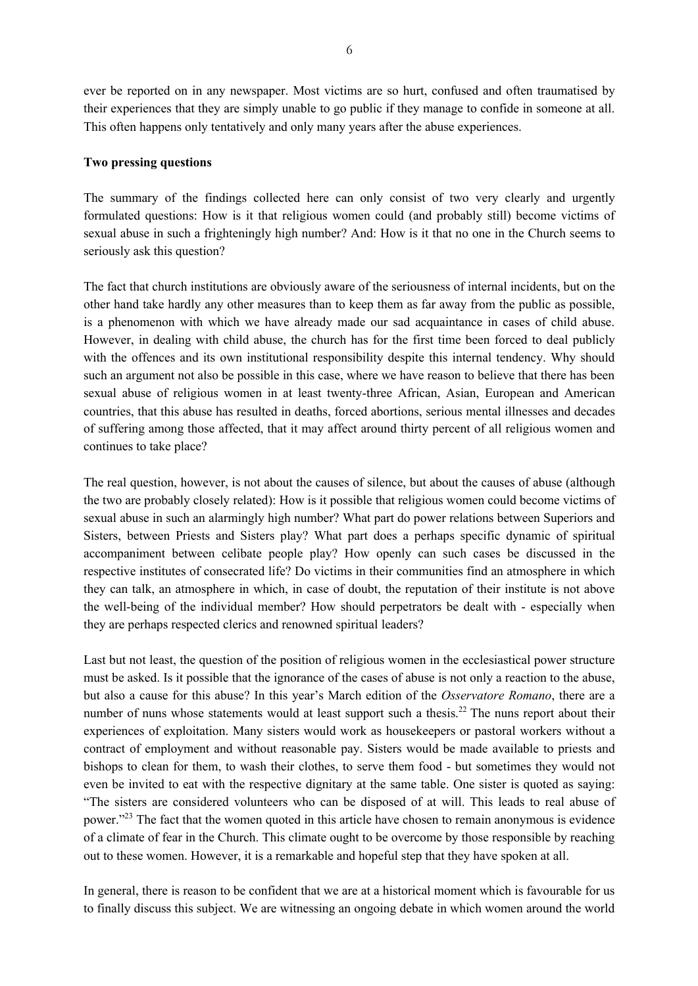ever be reported on in any newspaper. Most victims are so hurt, confused and often traumatised by their experiences that they are simply unable to go public if they manage to confide in someone at all. This often happens only tentatively and only many years after the abuse experiences.

#### **Two pressing questions**

The summary of the findings collected here can only consist of two very clearly and urgently formulated questions: How is it that religious women could (and probably still) become victims of sexual abuse in such a frighteningly high number? And: How is it that no one in the Church seems to seriously ask this question?

The fact that church institutions are obviously aware of the seriousness of internal incidents, but on the other hand take hardly any other measures than to keep them as far away from the public as possible, is a phenomenon with which we have already made our sad acquaintance in cases of child abuse. However, in dealing with child abuse, the church has for the first time been forced to deal publicly with the offences and its own institutional responsibility despite this internal tendency. Why should such an argument not also be possible in this case, where we have reason to believe that there has been sexual abuse of religious women in at least twenty-three African, Asian, European and American countries, that this abuse has resulted in deaths, forced abortions, serious mental illnesses and decades of suffering among those affected, that it may affect around thirty percent of all religious women and continues to take place?

The real question, however, is not about the causes of silence, but about the causes of abuse (although the two are probably closely related): How is it possible that religious women could become victims of sexual abuse in such an alarmingly high number? What part do power relations between Superiors and Sisters, between Priests and Sisters play? What part does a perhaps specific dynamic of spiritual accompaniment between celibate people play? How openly can such cases be discussed in the respective institutes of consecrated life? Do victims in their communities find an atmosphere in which they can talk, an atmosphere in which, in case of doubt, the reputation of their institute is not above the well-being of the individual member? How should perpetrators be dealt with - especially when they are perhaps respected clerics and renowned spiritual leaders?

Last but not least, the question of the position of religious women in the ecclesiastical power structure must be asked. Is it possible that the ignorance of the cases of abuse is not only a reaction to the abuse, but also a cause for this abuse? In this year's March edition of the *Osservatore Romano*, there are a number of nuns whose statements would at least support such a thesis.<sup>22</sup> The nuns report about their experiences of exploitation. Many sisters would work as housekeepers or pastoral workers without a contract of employment and without reasonable pay. Sisters would be made available to priests and bishops to clean for them, to wash their clothes, to serve them food - but sometimes they would not even be invited to eat with the respective dignitary at the same table. One sister is quoted as saying: "The sisters are considered volunteers who can be disposed of at will. This leads to real abuse of power."<sup>23</sup> The fact that the women quoted in this article have chosen to remain anonymous is evidence of a climate of fear in the Church. This climate ought to be overcome by those responsible by reaching out to these women. However, it is a remarkable and hopeful step that they have spoken at all.

In general, there is reason to be confident that we are at a historical moment which is favourable for us to finally discuss this subject. We are witnessing an ongoing debate in which women around the world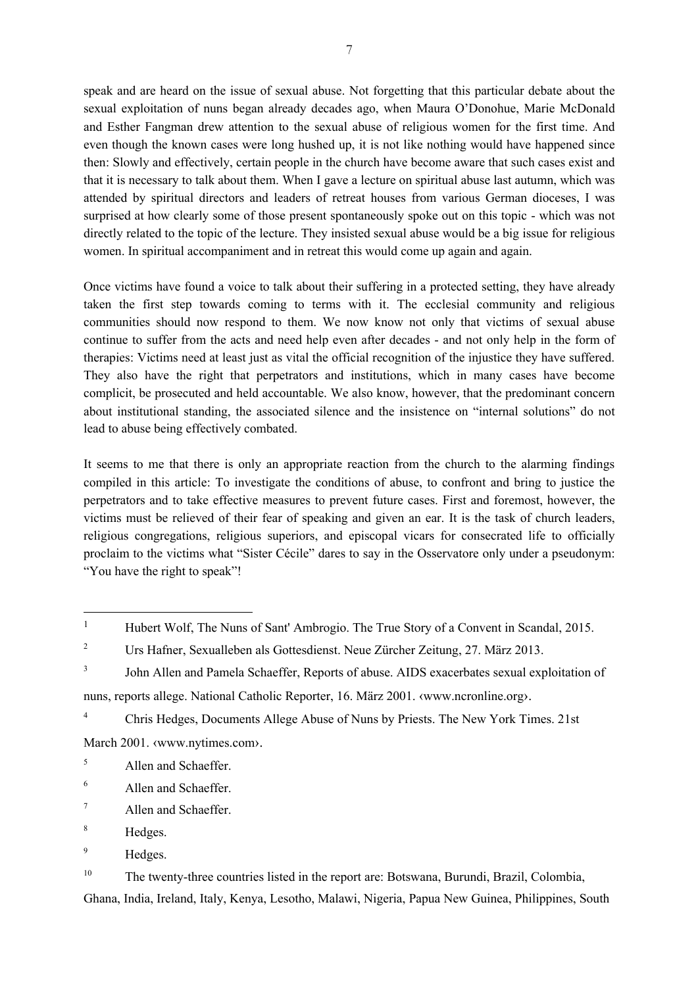speak and are heard on the issue of sexual abuse. Not forgetting that this particular debate about the sexual exploitation of nuns began already decades ago, when Maura O'Donohue, Marie McDonald and Esther Fangman drew attention to the sexual abuse of religious women for the first time. And even though the known cases were long hushed up, it is not like nothing would have happened since then: Slowly and effectively, certain people in the church have become aware that such cases exist and that it is necessary to talk about them. When I gave a lecture on spiritual abuse last autumn, which was attended by spiritual directors and leaders of retreat houses from various German dioceses, I was surprised at how clearly some of those present spontaneously spoke out on this topic - which was not directly related to the topic of the lecture. They insisted sexual abuse would be a big issue for religious women. In spiritual accompaniment and in retreat this would come up again and again.

Once victims have found a voice to talk about their suffering in a protected setting, they have already taken the first step towards coming to terms with it. The ecclesial community and religious communities should now respond to them. We now know not only that victims of sexual abuse continue to suffer from the acts and need help even after decades - and not only help in the form of therapies: Victims need at least just as vital the official recognition of the injustice they have suffered. They also have the right that perpetrators and institutions, which in many cases have become complicit, be prosecuted and held accountable. We also know, however, that the predominant concern about institutional standing, the associated silence and the insistence on "internal solutions" do not lead to abuse being effectively combated.

It seems to me that there is only an appropriate reaction from the church to the alarming findings compiled in this article: To investigate the conditions of abuse, to confront and bring to justice the perpetrators and to take effective measures to prevent future cases. First and foremost, however, the victims must be relieved of their fear of speaking and given an ear. It is the task of church leaders, religious congregations, religious superiors, and episcopal vicars for consecrated life to officially proclaim to the victims what "Sister Cécile" dares to say in the Osservatore only under a pseudonym: "You have the right to speak"!

<sup>4</sup> Chris Hedges, Documents Allege Abuse of Nuns by Priests. The New York Times. 21st March 2001. «www.nytimes.com».

- $<sup>5</sup>$  Allen and Schaeffer.</sup>
- <sup>6</sup> Allen and Schaeffer.
- $7 \overline{\phantom{a}}$  Allen and Schaeffer.
- <sup>8</sup> Hedges.

<sup>&</sup>lt;sup>1</sup> Hubert Wolf, The Nuns of Sant' Ambrogio. The True Story of a Convent in Scandal, 2015.

<sup>&</sup>lt;sup>2</sup> Urs Hafner, Sexualleben als Gottesdienst. Neue Zürcher Zeitung, 27. März 2013.

<sup>&</sup>lt;sup>3</sup> John Allen and Pamela Schaeffer, Reports of abuse. AIDS exacerbates sexual exploitation of nuns, reports allege. National Catholic Reporter, 16. März 2001. ‹www.ncronline.org›.

<sup>&</sup>lt;sup>9</sup> Hedges.

<sup>&</sup>lt;sup>10</sup> The twenty-three countries listed in the report are: Botswana, Burundi, Brazil, Colombia, Ghana, India, Ireland, Italy, Kenya, Lesotho, Malawi, Nigeria, Papua New Guinea, Philippines, South